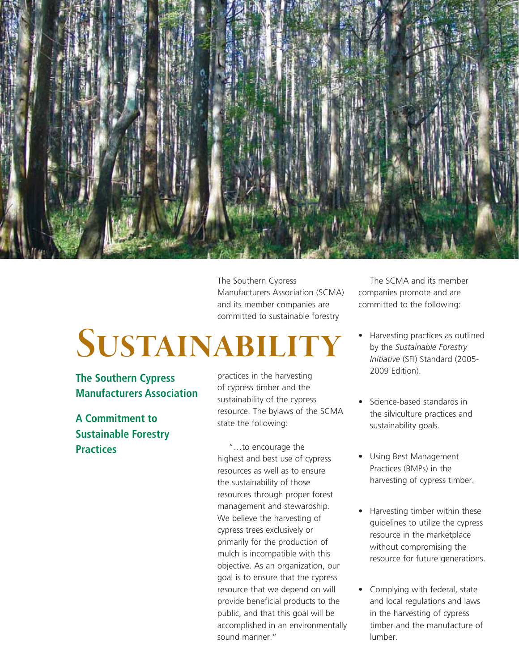

The Southern Cypress Manufacturers Association (SCMA) and its member companies are committed to sustainable forestry

## **Sustainability**

**The Southern Cypress Manufacturers Association**

**A Commitment to Sustainable Forestry Practices**

practices in the harvesting of cypress timber and the sustainability of the cypress resource. The bylaws of the SCMA state the following:

"…to encourage the highest and best use of cypress resources as well as to ensure the sustainability of those resources through proper forest management and stewardship. We believe the harvesting of cypress trees exclusively or primarily for the production of mulch is incompatible with this objective. As an organization, our goal is to ensure that the cypress resource that we depend on will provide beneficial products to the public, and that this goal will be accomplished in an environmentally sound manner."

The SCMA and its member companies promote and are committed to the following:

- Harvesting practices as outlined by the *Sustainable Forestry Initiative* (SFI) Standard (2005- 2009 Edition).
- Science-based standards in the silviculture practices and sustainability goals.
- Using Best Management Practices (BMPs) in the harvesting of cypress timber.
- Harvesting timber within these guidelines to utilize the cypress resource in the marketplace without compromising the resource for future generations.
- Complying with federal, state and local regulations and laws in the harvesting of cypress timber and the manufacture of lumber.